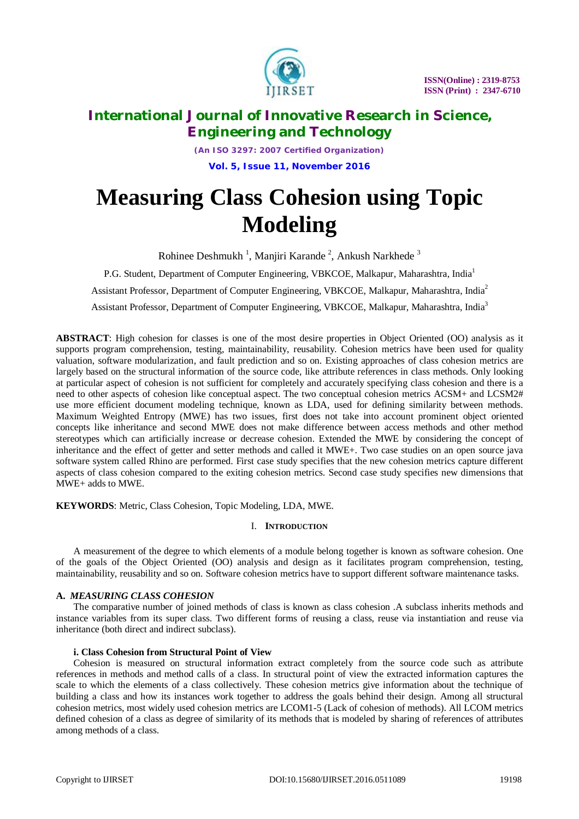

*(An ISO 3297: 2007 Certified Organization)* **Vol. 5, Issue 11, November 2016**

# **Measuring Class Cohesion using Topic Modeling**

Rohinee Deshmukh<sup>1</sup>, Manjiri Karande<sup>2</sup>, Ankush Narkhede<sup>3</sup>

P.G. Student, Department of Computer Engineering, VBKCOE, Malkapur, Maharashtra, India<sup>1</sup> Assistant Professor, Department of Computer Engineering, VBKCOE, Malkapur, Maharashtra, India<sup>2</sup>

Assistant Professor, Department of Computer Engineering, VBKCOE, Malkapur, Maharashtra, India<sup>3</sup>

**ABSTRACT**: High cohesion for classes is one of the most desire properties in Object Oriented (OO) analysis as it supports program comprehension, testing, maintainability, reusability. Cohesion metrics have been used for quality valuation, software modularization, and fault prediction and so on. Existing approaches of class cohesion metrics are largely based on the structural information of the source code, like attribute references in class methods. Only looking at particular aspect of cohesion is not sufficient for completely and accurately specifying class cohesion and there is a need to other aspects of cohesion like conceptual aspect. The two conceptual cohesion metrics ACSM+ and LCSM2# use more efficient document modeling technique, known as LDA, used for defining similarity between methods. Maximum Weighted Entropy (MWE) has two issues, first does not take into account prominent object oriented concepts like inheritance and second MWE does not make difference between access methods and other method stereotypes which can artificially increase or decrease cohesion. Extended the MWE by considering the concept of inheritance and the effect of getter and setter methods and called it MWE+. Two case studies on an open source java software system called Rhino are performed. First case study specifies that the new cohesion metrics capture different aspects of class cohesion compared to the exiting cohesion metrics. Second case study specifies new dimensions that MWE+ adds to MWE.

**KEYWORDS**: Metric, Class Cohesion, Topic Modeling, LDA, MWE.

# I. **INTRODUCTION**

A measurement of the degree to which elements of a module belong together is known as software cohesion. One of the goals of the Object Oriented (OO) analysis and design as it facilitates program comprehension, testing, maintainability, reusability and so on. Software cohesion metrics have to support different software maintenance tasks.

# **A.** *MEASURING CLASS COHESION*

The comparative number of joined methods of class is known as class cohesion .A subclass inherits methods and instance variables from its super class. Two different forms of reusing a class, reuse via instantiation and reuse via inheritance (both direct and indirect subclass).

### **i. Class Cohesion from Structural Point of View**

Cohesion is measured on structural information extract completely from the source code such as attribute references in methods and method calls of a class. In structural point of view the extracted information captures the scale to which the elements of a class collectively. These cohesion metrics give information about the technique of building a class and how its instances work together to address the goals behind their design. Among all structural cohesion metrics, most widely used cohesion metrics are LCOM1-5 (Lack of cohesion of methods). All LCOM metrics defined cohesion of a class as degree of similarity of its methods that is modeled by sharing of references of attributes among methods of a class.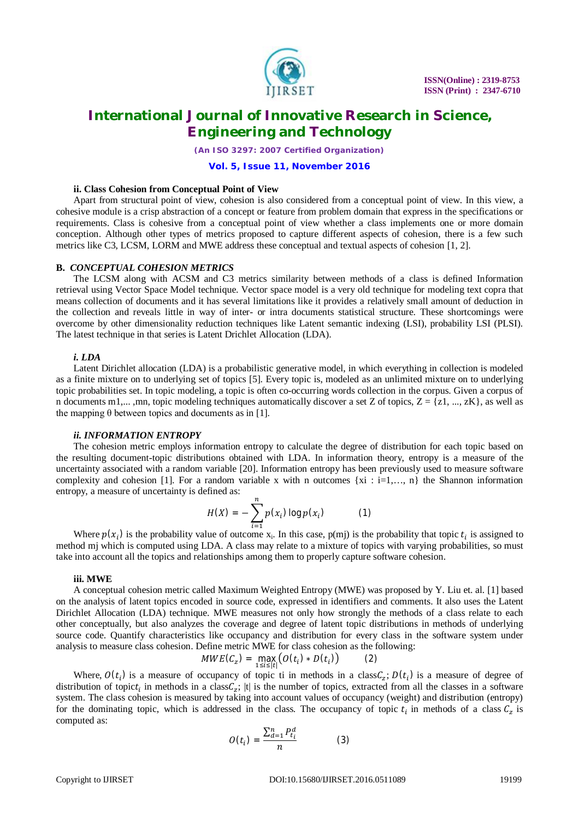

*(An ISO 3297: 2007 Certified Organization)*

#### **Vol. 5, Issue 11, November 2016**

### **ii. Class Cohesion from Conceptual Point of View**

Apart from structural point of view, cohesion is also considered from a conceptual point of view. In this view, a cohesive module is a crisp abstraction of a concept or feature from problem domain that express in the specifications or requirements. Class is cohesive from a conceptual point of view whether a class implements one or more domain conception. Although other types of metrics proposed to capture different aspects of cohesion, there is a few such metrics like C3, LCSM, LORM and MWE address these conceptual and textual aspects of cohesion [1, 2].

### **B.** *CONCEPTUAL COHESION METRICS*

The LCSM along with ACSM and C3 metrics similarity between methods of a class is defined Information retrieval using Vector Space Model technique. Vector space model is a very old technique for modeling text copra that means collection of documents and it has several limitations like it provides a relatively small amount of deduction in the collection and reveals little in way of inter- or intra documents statistical structure. These shortcomings were overcome by other dimensionality reduction techniques like Latent semantic indexing (LSI), probability LSI (PLSI). The latest technique in that series is Latent Drichlet Allocation (LDA).

#### *i. LDA*

Latent Dirichlet allocation (LDA) is a probabilistic generative model, in which everything in collection is modeled as a finite mixture on to underlying set of topics [5]. Every topic is, modeled as an unlimited mixture on to underlying topic probabilities set. In topic modeling, a topic is often co-occurring words collection in the corpus. Given a corpus of n documents m1,..., mn, topic modeling techniques automatically discover a set Z of topics,  $Z = \{z1, ..., zK\}$ , as well as the mapping  $\theta$  between topics and documents as in [1].

#### *ii. INFORMATION ENTROPY*

The cohesion metric employs information entropy to calculate the degree of distribution for each topic based on the resulting document-topic distributions obtained with LDA. In information theory, entropy is a measure of the uncertainty associated with a random variable [20]. Information entropy has been previously used to measure software complexity and cohesion [1]. For a random variable x with n outcomes  $\{xi : i=1,..., n\}$  the Shannon information entropy, a measure of uncertainty is defined as:

$$
H(X) = -\sum_{i=1}^{n} p(x_i) \log p(x_i)
$$
 (1)

Where  $p(x_i)$  is the probability value of outcome  $x_i$ . In this case,  $p(mj)$  is the probability that topic  $t_i$  is assigned to method mj which is computed using LDA. A class may relate to a mixture of topics with varying probabilities, so must take into account all the topics and relationships among them to properly capture software cohesion.

#### **iii. MWE**

A conceptual cohesion metric called Maximum Weighted Entropy (MWE) was proposed by Y. Liu et. al. [1] based on the analysis of latent topics encoded in source code, expressed in identifiers and comments. It also uses the Latent Dirichlet Allocation (LDA) technique. MWE measures not only how strongly the methods of a class relate to each other conceptually, but also analyzes the coverage and degree of latent topic distributions in methods of underlying source code. Quantify characteristics like occupancy and distribution for every class in the software system under analysis to measure class cohesion. Define metric MWE for class cohesion as the following:

$$
MWE(C_z) = \max_{1 \le i \le |t|} \big( O(t_i) * D(t_i) \big) \tag{2}
$$

Where,  $O(t_i)$  is a measure of occupancy of topic ti in methods in a class $C_z$ ;  $D(t_i)$  is a measure of degree of distribution of topict<sub>i</sub> in methods in a class $C_z$ ; |t| is the number of topics, extracted from all the classes in a software system. The class cohesion is measured by taking into account values of occupancy (weight) and distribution (entropy) for the dominating topic, which is addressed in the class. The occupancy of topic  $t_i$  in methods of a class  $C_z$  is computed as:

$$
O(t_i) = \frac{\sum_{d=1}^{n} P_{t_i}^d}{n} \tag{3}
$$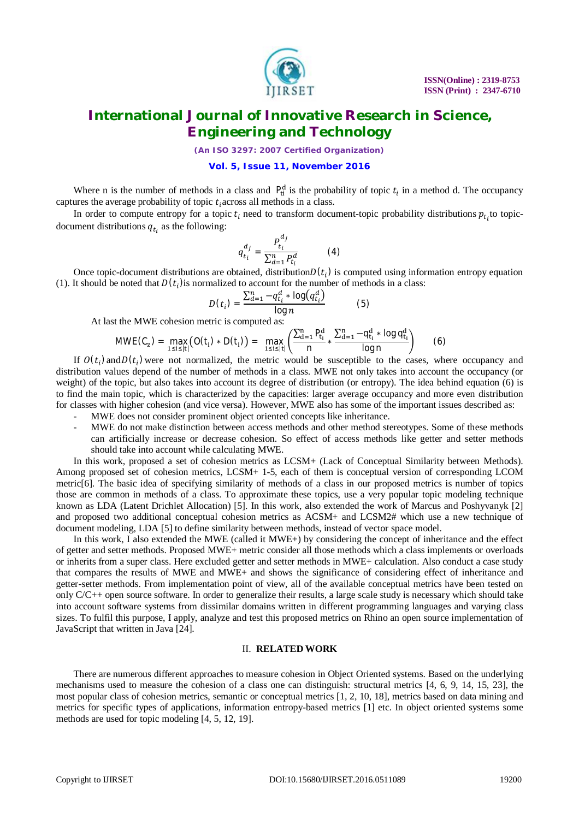

*(An ISO 3297: 2007 Certified Organization)*

### **Vol. 5, Issue 11, November 2016**

Where n is the number of methods in a class and  $P_{ti}^d$  is the probability of topic  $t_i$  in a method d. The occupancy captures the average probability of topic  $t_i$  across all methods in a class.

In order to compute entropy for a topic  $t_i$  need to transform document-topic probability distributions  $p_{t_i}$  to topicdocument distributions  $q_{t_i}$  as the following:

$$
q_{t_i}^{d_j} = \frac{P_{t_i}^{d_j}}{\sum_{d=1}^n P_{t_i}^d}
$$
 (4)

Once topic-document distributions are obtained, distribution $D(t_i)$  is computed using information entropy equation (1). It should be noted that  $D(t_i)$  is normalized to account for the number of methods in a class:

$$
D(t_i) = \frac{\sum_{d=1}^{n} -q_{t_i}^d * \log(q_{t_i}^d)}{\log n}
$$
 (5)

At last the MWE cohesion metric is computed as:

$$
MWE(C_z) = \max_{1 \le i \le |t|} (O(t_i) * D(t_i)) = \max_{1 \le i \le |t|} \left( \frac{\sum_{d=1}^n P_{t_i}^d}{n} * \frac{\sum_{d=1}^n -q_{t_i}^d * \log q_{t_i}^d}{\log n} \right) \tag{6}
$$

If  $O(t_i)$  and  $D(t_i)$  were not normalized, the metric would be susceptible to the cases, where occupancy and distribution values depend of the number of methods in a class. MWE not only takes into account the occupancy (or weight) of the topic, but also takes into account its degree of distribution (or entropy). The idea behind equation (6) is to find the main topic, which is characterized by the capacities: larger average occupancy and more even distribution for classes with higher cohesion (and vice versa). However, MWE also has some of the important issues described as:

MWE does not consider prominent object oriented concepts like inheritance.

MWE do not make distinction between access methods and other method stereotypes. Some of these methods can artificially increase or decrease cohesion. So effect of access methods like getter and setter methods should take into account while calculating MWE.

In this work, proposed a set of cohesion metrics as LCSM+ (Lack of Conceptual Similarity between Methods). Among proposed set of cohesion metrics, LCSM+ 1-5, each of them is conceptual version of corresponding LCOM metric[6]. The basic idea of specifying similarity of methods of a class in our proposed metrics is number of topics those are common in methods of a class. To approximate these topics, use a very popular topic modeling technique known as LDA (Latent Drichlet Allocation) [5]. In this work, also extended the work of Marcus and Poshyvanyk [2] and proposed two additional conceptual cohesion metrics as ACSM+ and LCSM2# which use a new technique of document modeling, LDA [5] to define similarity between methods, instead of vector space model.

In this work, I also extended the MWE (called it MWE+) by considering the concept of inheritance and the effect of getter and setter methods. Proposed MWE+ metric consider all those methods which a class implements or overloads or inherits from a super class. Here excluded getter and setter methods in MWE+ calculation. Also conduct a case study that compares the results of MWE and MWE+ and shows the significance of considering effect of inheritance and getter-setter methods. From implementation point of view, all of the available conceptual metrics have been tested on only C/C++ open source software. In order to generalize their results, a large scale study is necessary which should take into account software systems from dissimilar domains written in different programming languages and varying class sizes. To fulfil this purpose, I apply, analyze and test this proposed metrics on Rhino an open source implementation of JavaScript that written in Java [24].

#### II. **RELATED WORK**

There are numerous different approaches to measure cohesion in Object Oriented systems. Based on the underlying mechanisms used to measure the cohesion of a class one can distinguish: structural metrics [4, 6, 9, 14, 15, 23], the most popular class of cohesion metrics, semantic or conceptual metrics [1, 2, 10, 18], metrics based on data mining and metrics for specific types of applications, information entropy-based metrics [1] etc. In object oriented systems some methods are used for topic modeling [4, 5, 12, 19].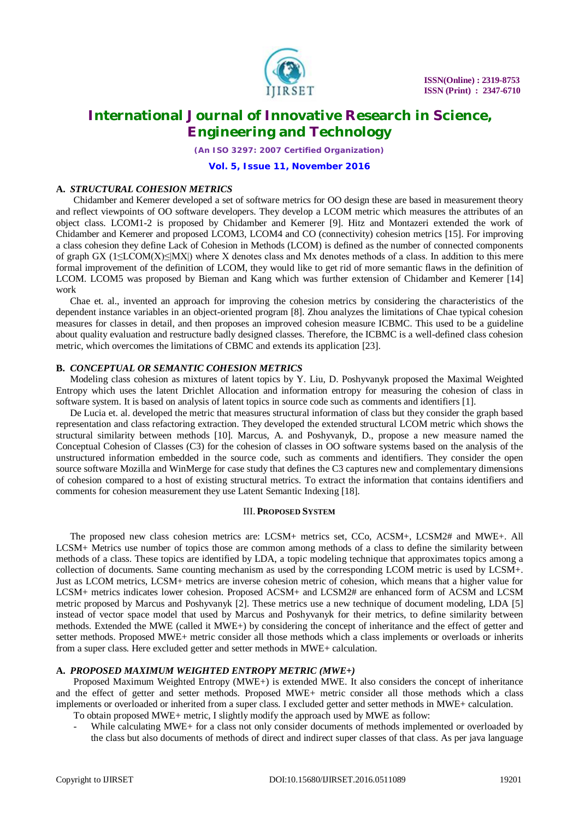

*(An ISO 3297: 2007 Certified Organization)*

### **Vol. 5, Issue 11, November 2016**

### **A.** *STRUCTURAL COHESION METRICS*

Chidamber and Kemerer developed a set of software metrics for OO design these are based in measurement theory and reflect viewpoints of OO software developers. They develop a LCOM metric which measures the attributes of an object class. LCOM1-2 is proposed by Chidamber and Kemerer [9]. Hitz and Montazeri extended the work of Chidamber and Kemerer and proposed LCOM3, LCOM4 and CO (connectivity) cohesion metrics [15]. For improving a class cohesion they define Lack of Cohesion in Methods (LCOM) is defined as the number of connected components of graph GX (1≤LCOM(X)≤|MX|) where X denotes class and Mx denotes methods of a class. In addition to this mere formal improvement of the definition of LCOM, they would like to get rid of more semantic flaws in the definition of LCOM. LCOM5 was proposed by Bieman and Kang which was further extension of Chidamber and Kemerer [14] work

Chae et. al., invented an approach for improving the cohesion metrics by considering the characteristics of the dependent instance variables in an object-oriented program [8]. Zhou analyzes the limitations of Chae typical cohesion measures for classes in detail, and then proposes an improved cohesion measure ICBMC. This used to be a guideline about quality evaluation and restructure badly designed classes. Therefore, the ICBMC is a well-defined class cohesion metric, which overcomes the limitations of CBMC and extends its application [23].

### **B.** *CONCEPTUAL OR SEMANTIC COHESION METRICS*

Modeling class cohesion as mixtures of latent topics by Y. Liu, D. Poshyvanyk proposed the Maximal Weighted Entropy which uses the latent Drichlet Allocation and information entropy for measuring the cohesion of class in software system. It is based on analysis of latent topics in source code such as comments and identifiers [1].

De Lucia et. al. developed the metric that measures structural information of class but they consider the graph based representation and class refactoring extraction. They developed the extended structural LCOM metric which shows the structural similarity between methods [10]. Marcus, A. and Poshyvanyk, D., propose a new measure named the Conceptual Cohesion of Classes (C3) for the cohesion of classes in OO software systems based on the analysis of the unstructured information embedded in the source code, such as comments and identifiers. They consider the open source software Mozilla and WinMerge for case study that defines the C3 captures new and complementary dimensions of cohesion compared to a host of existing structural metrics. To extract the information that contains identifiers and comments for cohesion measurement they use Latent Semantic Indexing [18].

#### III. **PROPOSED SYSTEM**

The proposed new class cohesion metrics are: LCSM+ metrics set, CCo, ACSM+, LCSM2# and MWE+. All LCSM+ Metrics use number of topics those are common among methods of a class to define the similarity between methods of a class. These topics are identified by LDA, a topic modeling technique that approximates topics among a collection of documents. Same counting mechanism as used by the corresponding LCOM metric is used by LCSM+. Just as LCOM metrics, LCSM+ metrics are inverse cohesion metric of cohesion, which means that a higher value for LCSM+ metrics indicates lower cohesion. Proposed ACSM+ and LCSM2# are enhanced form of ACSM and LCSM metric proposed by Marcus and Poshyvanyk [2]. These metrics use a new technique of document modeling, LDA [5] instead of vector space model that used by Marcus and Poshyvanyk for their metrics, to define similarity between methods. Extended the MWE (called it MWE+) by considering the concept of inheritance and the effect of getter and setter methods. Proposed MWE+ metric consider all those methods which a class implements or overloads or inherits from a super class. Here excluded getter and setter methods in MWE+ calculation.

### **A.** *PROPOSED MAXIMUM WEIGHTED ENTROPY METRIC (MWE+)*

Proposed Maximum Weighted Entropy (MWE+) is extended MWE. It also considers the concept of inheritance and the effect of getter and setter methods. Proposed MWE+ metric consider all those methods which a class implements or overloaded or inherited from a super class. I excluded getter and setter methods in MWE+ calculation.

- To obtain proposed MWE+ metric, I slightly modify the approach used by MWE as follow:
- While calculating MWE+ for a class not only consider documents of methods implemented or overloaded by the class but also documents of methods of direct and indirect super classes of that class. As per java language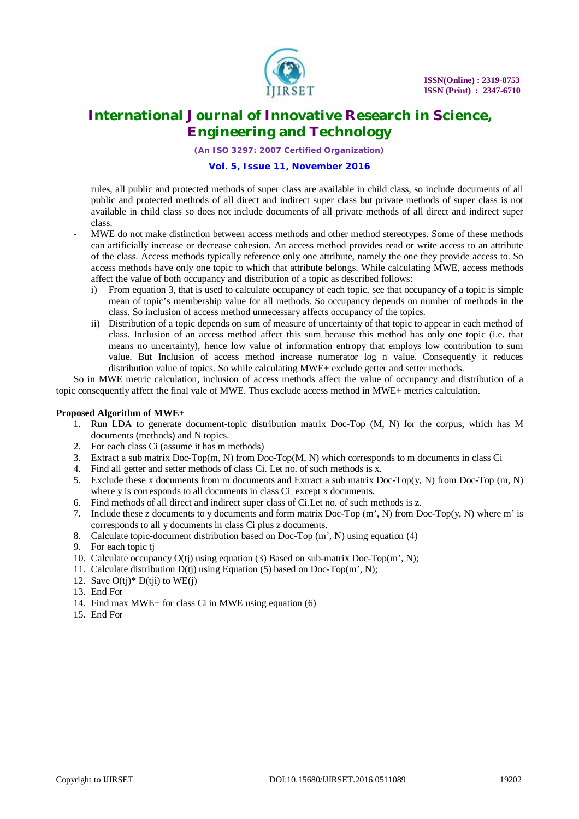

*(An ISO 3297: 2007 Certified Organization)*

### **Vol. 5, Issue 11, November 2016**

rules, all public and protected methods of super class are available in child class, so include documents of all public and protected methods of all direct and indirect super class but private methods of super class is not available in child class so does not include documents of all private methods of all direct and indirect super class.

- MWE do not make distinction between access methods and other method stereotypes. Some of these methods can artificially increase or decrease cohesion. An access method provides read or write access to an attribute of the class. Access methods typically reference only one attribute, namely the one they provide access to. So access methods have only one topic to which that attribute belongs. While calculating MWE, access methods affect the value of both occupancy and distribution of a topic as described follows:
	- i) From equation 3, that is used to calculate occupancy of each topic, see that occupancy of a topic is simple mean of topic's membership value for all methods. So occupancy depends on number of methods in the class. So inclusion of access method unnecessary affects occupancy of the topics.
	- ii) Distribution of a topic depends on sum of measure of uncertainty of that topic to appear in each method of class. Inclusion of an access method affect this sum because this method has only one topic (i.e. that means no uncertainty), hence low value of information entropy that employs low contribution to sum value. But Inclusion of access method increase numerator log n value. Consequently it reduces distribution value of topics. So while calculating MWE+ exclude getter and setter methods.

So in MWE metric calculation, inclusion of access methods affect the value of occupancy and distribution of a topic consequently affect the final vale of MWE. Thus exclude access method in MWE+ metrics calculation.

### **Proposed Algorithm of MWE+**

- 1. Run LDA to generate document-topic distribution matrix Doc-Top (M, N) for the corpus, which has M documents (methods) and N topics.
- 2. For each class Ci (assume it has m methods)
- 3. Extract a sub matrix Doc-Top(m, N) from Doc-Top(M, N) which corresponds to m documents in class Ci
- 4. Find all getter and setter methods of class Ci. Let no. of such methods is x.
- 5. Exclude these x documents from m documents and Extract a sub matrix Doc-Top(y, N) from Doc-Top (m, N) where y is corresponds to all documents in class Ci except x documents.
- 6. Find methods of all direct and indirect super class of Ci.Let no. of such methods is z.
- 7. Include these z documents to y documents and form matrix Doc-Top (m', N) from Doc-Top(y, N) where m' is corresponds to all y documents in class Ci plus z documents.
- 8. Calculate topic-document distribution based on Doc-Top (m', N) using equation (4)
- 9. For each topic tj
- 10. Calculate occupancy O(tj) using equation (3) Based on sub-matrix Doc-Top(m', N);
- 11. Calculate distribution D(tj) using Equation (5) based on Doc-Top(m', N);
- 12. Save  $O(t<sub>i</sub>)$ <sup>\*</sup>  $D(t<sub>ii</sub>)$  to WE(*i*)
- 13. End For
- 14. Find max MWE+ for class Ci in MWE using equation (6)
- 15. End For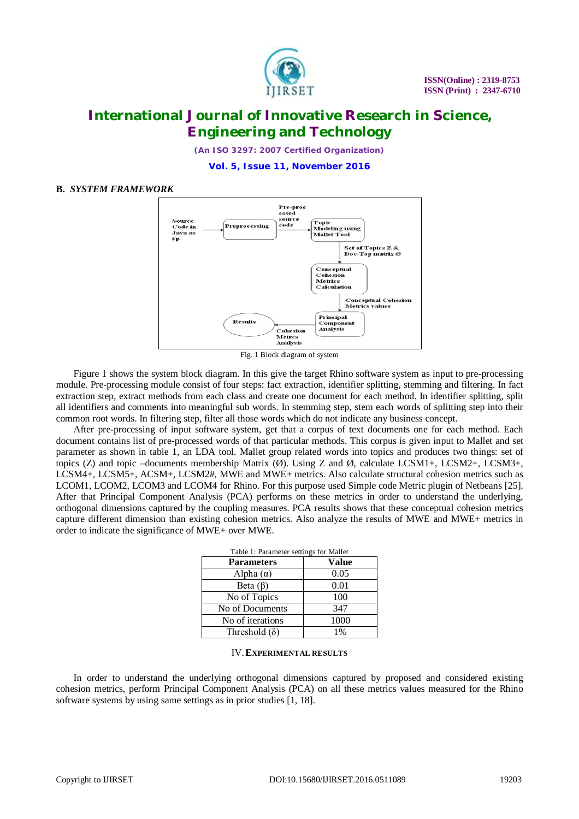

*(An ISO 3297: 2007 Certified Organization)*

**Vol. 5, Issue 11, November 2016**

### **B.** *SYSTEM FRAMEWORK*



Fig. 1 Block diagram of system

Figure 1 shows the system block diagram. In this give the target Rhino software system as input to pre-processing module. Pre-processing module consist of four steps: fact extraction, identifier splitting, stemming and filtering. In fact extraction step, extract methods from each class and create one document for each method. In identifier splitting, split all identifiers and comments into meaningful sub words. In stemming step, stem each words of splitting step into their common root words. In filtering step, filter all those words which do not indicate any business concept.

After pre-processing of input software system, get that a corpus of text documents one for each method. Each document contains list of pre-processed words of that particular methods. This corpus is given input to Mallet and set parameter as shown in table 1, an LDA tool. Mallet group related words into topics and produces two things: set of topics (Z) and topic –documents membership Matrix (Ø). Using Z and Ø, calculate LCSM1+, LCSM2+, LCSM3+, LCSM4+, LCSM5+, ACSM+, LCSM2#, MWE and MWE+ metrics. Also calculate structural cohesion metrics such as LCOM1, LCOM2, LCOM3 and LCOM4 for Rhino. For this purpose used Simple code Metric plugin of Netbeans [25]. After that Principal Component Analysis (PCA) performs on these metrics in order to understand the underlying, orthogonal dimensions captured by the coupling measures. PCA results shows that these conceptual cohesion metrics capture different dimension than existing cohesion metrics. Also analyze the results of MWE and MWE+ metrics in order to indicate the significance of MWE+ over MWE.

| Table 1: Parameter settings for Mallet |       |  |  |  |  |  |
|----------------------------------------|-------|--|--|--|--|--|
| <b>Parameters</b>                      | Value |  |  |  |  |  |
| Alpha $(\alpha)$                       | 0.05  |  |  |  |  |  |
| Beta $(\beta)$                         | 0.01  |  |  |  |  |  |
| No of Topics                           | 100   |  |  |  |  |  |
| No of Documents                        | 347   |  |  |  |  |  |
| No of iterations                       | 1000  |  |  |  |  |  |
| Threshold $(\delta)$                   | $1\%$ |  |  |  |  |  |

#### IV.**EXPERIMENTAL RESULTS**

In order to understand the underlying orthogonal dimensions captured by proposed and considered existing cohesion metrics, perform Principal Component Analysis (PCA) on all these metrics values measured for the Rhino software systems by using same settings as in prior studies [1, 18].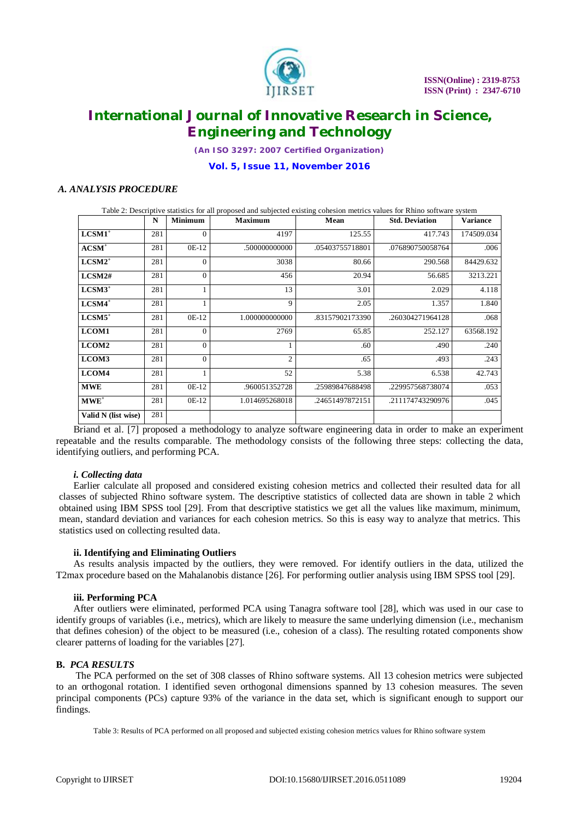

*(An ISO 3297: 2007 Certified Organization)*

### **Vol. 5, Issue 11, November 2016**

### *A. ANALYSIS PROCEDURE*

| Table 2: Descriptive statistics for all proposed and subjected existing cohesion metrics values for Rhino software system |     |                                  |                |                 |                       |            |  |  |  |
|---------------------------------------------------------------------------------------------------------------------------|-----|----------------------------------|----------------|-----------------|-----------------------|------------|--|--|--|
|                                                                                                                           | N   | <b>Minimum</b><br><b>Maximum</b> |                | Mean            | <b>Std. Deviation</b> | Variance   |  |  |  |
| $LCSM1$ <sup>+</sup>                                                                                                      | 281 | $\overline{0}$                   | 4197           | 125.55          | 417.743               | 174509.034 |  |  |  |
| $ACSM+$                                                                                                                   | 281 | 0E-12                            | .50000000000   | .05403755718801 | .076890750058764      | .006       |  |  |  |
| $LCSM2^+$                                                                                                                 | 281 | $\overline{0}$                   | 3038           | 80.66           | 290.568               | 84429.632  |  |  |  |
| LCSM2#                                                                                                                    | 281 | $\overline{0}$                   | 456            | 20.94           | 56.685                | 3213.221   |  |  |  |
| $LCSM3^+$                                                                                                                 | 281 |                                  | 13             | 3.01            | 2.029                 | 4.118      |  |  |  |
| $LCSM4$ <sup>+</sup>                                                                                                      | 281 |                                  | 9              | 2.05            | 1.357                 | 1.840      |  |  |  |
| $LCSM5$ <sup>+</sup>                                                                                                      | 281 | 0E-12                            | 1.000000000000 | .83157902173390 | .260304271964128      | .068       |  |  |  |
| LCOM1                                                                                                                     | 281 | $\Omega$                         | 2769           | 65.85           | 252.127               | 63568.192  |  |  |  |
| LCOM2                                                                                                                     | 281 | $\overline{0}$                   | 1              | .60             | .490                  | .240       |  |  |  |
| LCOM3                                                                                                                     | 281 | $\Omega$                         | $\overline{c}$ | .65             | .493                  | .243       |  |  |  |
| LCOM4                                                                                                                     | 281 |                                  | 52             | 5.38            | 6.538                 | 42.743     |  |  |  |
| <b>MWE</b>                                                                                                                | 281 | $OE-12$                          | .960051352728  | .25989847688498 | .229957568738074      | .053       |  |  |  |
| $MWE^+$                                                                                                                   | 281 | $OE-12$                          | 1.014695268018 | .24651497872151 | .211174743290976      | .045       |  |  |  |
| Valid N (list wise)                                                                                                       | 281 |                                  |                |                 |                       |            |  |  |  |

Briand et al. [7] proposed a methodology to analyze software engineering data in order to make an experiment repeatable and the results comparable. The methodology consists of the following three steps: collecting the data, identifying outliers, and performing PCA.

### *i. Collecting data*

Earlier calculate all proposed and considered existing cohesion metrics and collected their resulted data for all classes of subjected Rhino software system. The descriptive statistics of collected data are shown in table 2 which obtained using IBM SPSS tool [29]. From that descriptive statistics we get all the values like maximum, minimum, mean, standard deviation and variances for each cohesion metrics. So this is easy way to analyze that metrics. This statistics used on collecting resulted data.

### **ii. Identifying and Eliminating Outliers**

As results analysis impacted by the outliers, they were removed. For identify outliers in the data, utilized the T2max procedure based on the Mahalanobis distance [26]. For performing outlier analysis using IBM SPSS tool [29].

### **iii. Performing PCA**

After outliers were eliminated, performed PCA using Tanagra software tool [28], which was used in our case to identify groups of variables (i.e., metrics), which are likely to measure the same underlying dimension (i.e., mechanism that defines cohesion) of the object to be measured (i.e., cohesion of a class). The resulting rotated components show clearer patterns of loading for the variables [27].

### **B.** *PCA RESULTS*

The PCA performed on the set of 308 classes of Rhino software systems. All 13 cohesion metrics were subjected to an orthogonal rotation. I identified seven orthogonal dimensions spanned by 13 cohesion measures. The seven principal components (PCs) capture 93% of the variance in the data set, which is significant enough to support our findings.

Table 3: Results of PCA performed on all proposed and subjected existing cohesion metrics values for Rhino software system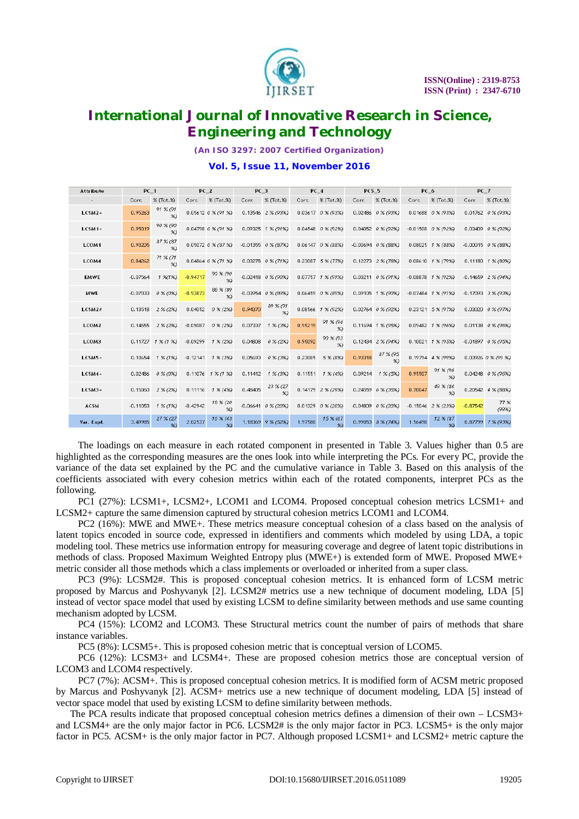

*(An ISO 3297: 2007 Certified Organization)*

### **Vol. 5, Issue 11, November 2016**

| Attribute         | PC 1       |                           | PC <sub>2</sub><br>PC <sub>3</sub> |                                  | PC <sub>4</sub> |                              | PC5 5   |                             | PC_6    |                                 | PC 7       |                              |            |                                             |
|-------------------|------------|---------------------------|------------------------------------|----------------------------------|-----------------|------------------------------|---------|-----------------------------|---------|---------------------------------|------------|------------------------------|------------|---------------------------------------------|
|                   | Corr.      | % (Tot.%)                 | Corr.                              | % (Tot.%)                        | Corr.           | % (Tot.%)                    | Corr.   | $\%$ (Tot. $\%$ )           | Corr.   | % (Tot.%)                       | Corr.      | $\%$ (Tot. $\%$ )            | Corr.      | X(Tot.X)                                    |
| $LCSM2+$          | 0.95263    | 91 % (91<br>$\infty$      |                                    | 0.05612 0 % (91 %)               |                 | 0.13546 2 % (93%)            |         | 0.03617 0 % (93%)           |         | 0.02486 0 % (93%)               |            | 0.01688 0 % (93%)            |            | 0.01762 0 % (93%)                           |
| $LCSM1+$          | 0.95019    | 90 % (90<br>$\gg$         |                                    | 0.04798 0 % (91 %)               |                 | 0.09325 1 % (91%)            |         | $0.04548$ $0 \times (92\%)$ |         | $0.04052 \quad 0 \times (92\%)$ |            | $-0.01508$ $0 \times (92\%)$ |            | 0.03409 0 % (92%)                           |
| LCOM1             | 0.93205    | 87 % (87<br>$\frac{9}{2}$ |                                    | $0.05072$ $0 \times (87 \times)$ |                 | $-0.01355$ $0 \times (87%)$  |         | $0.06147$ $0 \times (88\%)$ |         | $-0.00694$ $0 \times (88\%)$    |            | $0.08025$ $1 \times (88\%)$  |            | $-0.00015$ $0 \times (88\%)$                |
| LCOM4             | 0.84262    | 71 % (71<br>$\frac{9}{2}$ |                                    | $0.04864$ $0 \times (71 \times)$ |                 | $0.03278$ $0 \times (71\%)$  |         | $0.23087$ 5 % (77%)         |         | $0.12273$ $2 \times (78\%)$     |            | $0.08610$ $1\%$ (79%)        |            | $0.11180 \quad 1 \quad \times \quad (80\%)$ |
| <b>EMWE</b>       | $-0.07564$ | 1 %(1%)                   | $-0.94717$                         | 90 % (90<br>$\infty$             |                 | $-0.02418$ $0 \times (90\%)$ |         | $0.07757$ $1 \times (91\%)$ |         | $0.03211$ $0 \times (91\%)$     |            | $-0.08878$ 1 % (92%)         |            | $-0.14659$ $2 \times (94\%)$                |
| MWE               | $-0.07033$ | $0 \times (0 \%)$         | $-0.93873$                         | 88 % (89<br>$\infty$             |                 | $-0.03954$ $0 \times (89\%)$ |         | $0.06459$ $0 \times (89\%)$ |         | 0.09105 1 % (90%)               |            | $-0.07484$ $1 \times (91\%)$ |            | $-0.17093$ $3 \times (93\%)$                |
| LCSM2#            | 0.13518    | $2$ % (2%)                | 0.04052                            | $0 \times (2\%)$                 | 0.94370         | 89 % (91<br>$\frac{9}{2}$    |         | 0.08566 1 % (92%)           |         | 0.02764 0 % (92%)               |            | $0.23121$ 5 % (97%)          |            | $0.03020$ $0 \times (97%)$                  |
| LCOM <sub>2</sub> | 0.14555    | $2\%$ (2%)                | $-0.05087$                         | $0 \times (2)$                   | 0.07337         | 1 % (3%)                     | 0.95219 | 91 % (94<br>$\frac{9}{2}$   |         | 0.11694 1 % (95%)               |            | 0.09482 1 % (96%)            |            | $0.01138$ $0 \times 196$ $\times$           |
| LCOM3             |            | $0.11727$ $1\%$ (1 %)     | $-0.09299$                         | $1 \times (2)$                   | 0.04808         | $0 \times (2\%)$             | 0.95092 | 90 % (93<br>$\frac{9}{2}$   |         | 0.12434 2 % (94%)               |            | $0.10021$ $1 \times (95\%)$  |            | $-0.01897$ $0 \times (95\%)$                |
| LCSM5+            | 0.10654    | $1\% (1\%)$               | $-0.12141$                         | 1 % (3%)                         | 0.05693         | $0 \times (3)$               | 0.23085 | 5 % (8%)                    | 0.93318 | 87 % (95<br>$\frac{9}{2}$       |            | 0.19794 4 % (99%)            |            | 0.03926 0 % (99 %)                          |
| $LCSM4+$          | 0.02486    | $0 \times (0 \%)$         |                                    | $0.11076$ $1\%$ $(1\%)$          | 0.11412         | 1 % (3%)                     | 0.11551 | $1\%$ (4%)                  | 0.09214 | $1 \times (5\%)$                | 0.95507    | 91 % (96<br>$\infty$         |            | $0.04248$ $0 \times (96\%)$                 |
| $LCSM3+$          | 0.15060    | $2$ % (2%)                | 0.11116                            | $1 \times (4\%)$                 | 0.48405         | 23 % (27<br>$\infty$         |         | 0.14179 2 % (29%)           |         | $0.24559$ 6 % (35%)             | 0.70047    | 49 % (84<br>$\infty$         |            | $0.20542$ $4 \times (88\%)$                 |
| <b>ACSM</b>       | $-0.11053$ | $1 \times (1 \times)$     | $-0.42942$                         | 18 % (20<br>$\infty$             |                 | $-0.06641$ $0 \times (20\%)$ |         | $0.01329$ $0 \times (20\%)$ |         | $-0.04809$ $0 \times (20\%)$    | $-0.15046$ | 2 % (23%)                    | $-0.87542$ | 77 %<br>(99%)                               |
| Var. Expl.        | 3.49985    | 27 % (27                  | 2.02537                            | 16 % (43<br>$\frac{9}{2}$        | 1.18369         | 9 % (52%)                    | 1.97580 | 15 % (67                    |         | 0.99853 8 % (74%)               | 1.56498    | 12 % (87<br>$\frac{9}{2}$    | 0.87799    | 7 % (93%)                                   |

The loadings on each measure in each rotated component in presented in Table 3. Values higher than 0.5 are highlighted as the corresponding measures are the ones look into while interpreting the PCs. For every PC, provide the variance of the data set explained by the PC and the cumulative variance in Table 3. Based on this analysis of the coefficients associated with every cohesion metrics within each of the rotated components, interpret PCs as the following.

PC1 (27%): LCSM1+, LCSM2+, LCOM1 and LCOM4. Proposed conceptual cohesion metrics LCSM1+ and LCSM2+ capture the same dimension captured by structural cohesion metrics LCOM1 and LCOM4.

PC2 (16%): MWE and MWE+. These metrics measure conceptual cohesion of a class based on the analysis of latent topics encoded in source code, expressed in identifiers and comments which modeled by using LDA, a topic modeling tool. These metrics use information entropy for measuring coverage and degree of latent topic distributions in methods of class. Proposed Maximum Weighted Entropy plus (MWE+) is extended form of MWE. Proposed MWE+ metric consider all those methods which a class implements or overloaded or inherited from a super class.

PC3 (9%): LCSM2#. This is proposed conceptual cohesion metrics. It is enhanced form of LCSM metric proposed by Marcus and Poshyvanyk [2]. LCSM2# metrics use a new technique of document modeling, LDA [5] instead of vector space model that used by existing LCSM to define similarity between methods and use same counting mechanism adopted by LCSM.

PC4 (15%): LCOM2 and LCOM3. These Structural metrics count the number of pairs of methods that share instance variables.

PC5 (8%): LCSM5+. This is proposed cohesion metric that is conceptual version of LCOM5.

PC6 (12%): LCSM3+ and LCSM4+. These are proposed cohesion metrics those are conceptual version of LCOM3 and LCOM4 respectively.

PC7 (7%): ACSM+. This is proposed conceptual cohesion metrics. It is modified form of ACSM metric proposed by Marcus and Poshyvanyk [2]. ACSM+ metrics use a new technique of document modeling, LDA [5] instead of vector space model that used by existing LCSM to define similarity between methods.

The PCA results indicate that proposed conceptual cohesion metrics defines a dimension of their own – LCSM3+ and LCSM4+ are the only major factor in PC6. LCSM2# is the only major factor in PC3. LCSM5+ is the only major factor in PC5. ACSM+ is the only major factor in PC7. Although proposed LCSM1+ and LCSM2+ metric capture the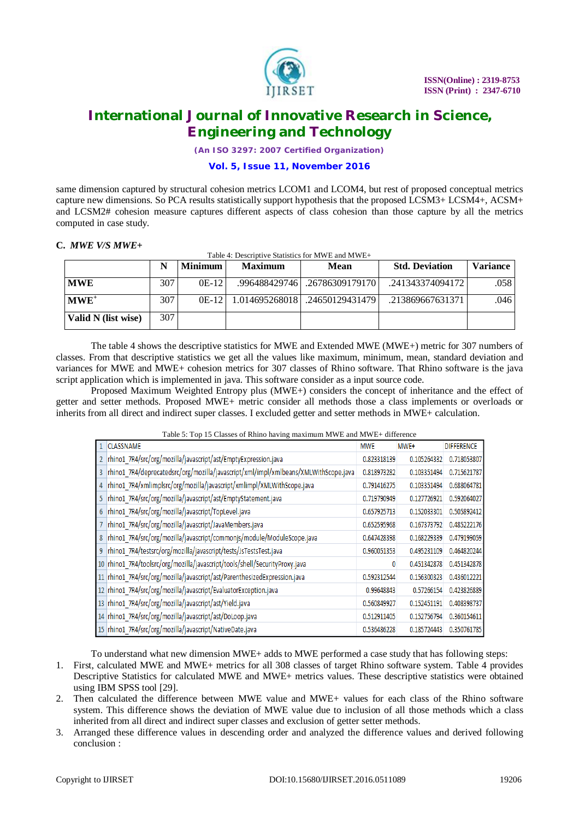

*(An ISO 3297: 2007 Certified Organization)*

## **Vol. 5, Issue 11, November 2016**

same dimension captured by structural cohesion metrics LCOM1 and LCOM4, but rest of proposed conceptual metrics capture new dimensions. So PCA results statistically support hypothesis that the proposed LCSM3+ LCSM4+, ACSM+ and LCSM2# cohesion measure captures different aspects of class cohesion than those capture by all the metrics computed in case study.

### **C.** *MWE V/S MWE+*

|                     | N   | <b>Minimum</b> | <b>Maximum</b> | <b>Mean</b>                      | <b>Std. Deviation</b> | <b>Variance</b> |
|---------------------|-----|----------------|----------------|----------------------------------|-----------------------|-----------------|
| <b>MWE</b>          | 307 | $OE-12$        |                | .996488429746 .26786309179170    | .241343374094172      | .058            |
| $MWE^{+}$           | 307 | $OE-12$        |                | 1.014695268018   .24650129431479 | .213869667631371      | .046            |
| Valid N (list wise) | 307 |                |                |                                  |                       |                 |

The table 4 shows the descriptive statistics for MWE and Extended MWE (MWE+) metric for 307 numbers of classes. From that descriptive statistics we get all the values like maximum, minimum, mean, standard deviation and variances for MWE and MWE+ cohesion metrics for 307 classes of Rhino software. That Rhino software is the java script application which is implemented in java. This software consider as a input source code.

Proposed Maximum Weighted Entropy plus (MWE+) considers the concept of inheritance and the effect of getter and setter methods. Proposed MWE+ metric consider all methods those a class implements or overloads or inherits from all direct and indirect super classes. I excluded getter and setter methods in MWE+ calculation.

Table 5: Top 15 Classes of Rhino having maximum MWE and MWE+ difference

|        | <b>CLASSNAME</b>                                                                    | <b>MWE</b>  | MWE+        | <b>DIFFERENCE</b> |
|--------|-------------------------------------------------------------------------------------|-------------|-------------|-------------------|
| 2      | rhino1_7R4/src/org/mozilla/javascript/ast/EmptyExpression.java                      | 0.823318139 | 0.105264332 | 0.718053807       |
| 3      | rhino1_7R4/deprecatedsrc/org/mozilla/javascript/xml/impl/xmlbeans/XMLWithScope.java | 0.818973282 | 0.103351494 | 0.715621787       |
| 4      | rhino1_7R4/xmlimplsrc/org/mozilla/javascript/xmlimpl/XMLWithScope.java              | 0.791416275 | 0.103351494 | 0.688064781       |
| 5      | rhino1_7R4/src/org/mozilla/javascript/ast/EmptyStatement.java                       | 0.719790949 | 0.127726921 | 0.592064027       |
| 6      | rhino1_7R4/src/org/mozilla/javascript/TopLevel.java                                 | 0.657925713 | 0.152033301 | 0.505892412       |
|        | rhino1 7R4/src/org/mozilla/javascript/JavaMembers.java                              | 0.652595968 | 0.167373792 | 0.485222176       |
| 8      | rhino1_7R4/src/org/mozilla/javascript/commonjs/module/ModuleScope.java              | 0.647428398 | 0.168229339 | 0.479199059       |
| 9      | rhino1_7R4/testsrc/org/mozilla/javascript/tests/JsTestsTest.java                    | 0.960051353 | 0.495231109 | 0.464820244       |
| 10     | rhino1_7R4/toolsrc/org/mozilla/javascript/tools/shell/SecurityProxy.java            |             | 0.451342878 | 0.451342878       |
| $11\,$ | rhino1_7R4/src/org/mozilla/javascript/ast/ParenthesizedExpression.java              | 0.592312544 | 0.156300323 | 0.436012221       |
|        | 12 rhino1_7R4/src/org/mozilla/javascript/EvaluatorException.java                    | 0.99648843  | 0.57266154  | 0.423826889       |
|        | 13 rhino1_7R4/src/org/mozilla/javascript/ast/Yield.java                             | 0.560849927 | 0.152451191 | 0.408398737       |
|        | 14 rhino1_7R4/src/org/mozilla/javascript/ast/DoLoop.java                            | 0.512911405 | 0.152756794 | 0.360154611       |
|        | 15   rhino1_7R4/src/org/mozilla/javascript/NativeDate.java                          | 0.536486228 | 0.185724443 | 0.350761785       |

To understand what new dimension MWE+ adds to MWE performed a case study that has following steps:

- 1. First, calculated MWE and MWE+ metrics for all 308 classes of target Rhino software system. Table 4 provides Descriptive Statistics for calculated MWE and MWE+ metrics values. These descriptive statistics were obtained using IBM SPSS tool [29].
- 2. Then calculated the difference between MWE value and MWE+ values for each class of the Rhino software system. This difference shows the deviation of MWE value due to inclusion of all those methods which a class inherited from all direct and indirect super classes and exclusion of getter setter methods.
- 3. Arranged these difference values in descending order and analyzed the difference values and derived following conclusion :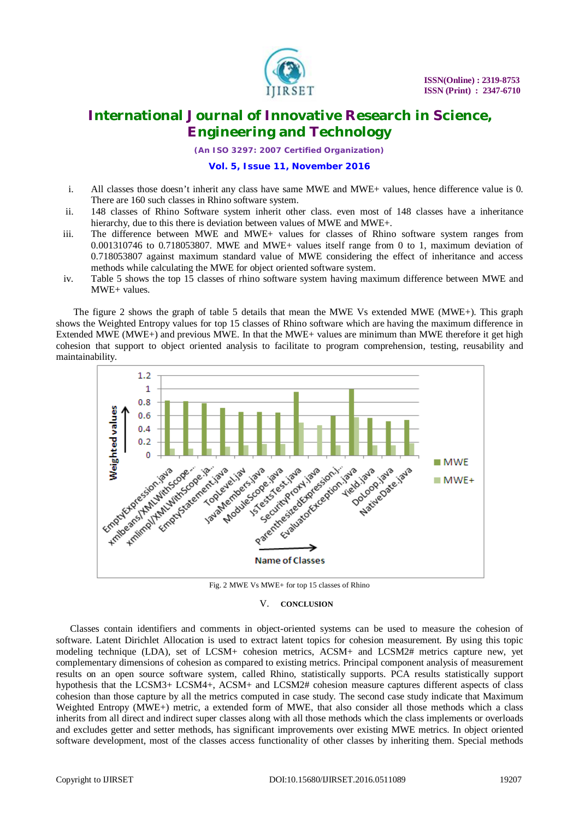

*(An ISO 3297: 2007 Certified Organization)*

### **Vol. 5, Issue 11, November 2016**

- i. All classes those doesn't inherit any class have same MWE and MWE+ values, hence difference value is 0. There are 160 such classes in Rhino software system.
- ii. 148 classes of Rhino Software system inherit other class. even most of 148 classes have a inheritance hierarchy, due to this there is deviation between values of MWE and MWE+.
- iii. The difference between MWE and MWE+ values for classes of Rhino software system ranges from 0.001310746 to 0.718053807. MWE and MWE+ values itself range from 0 to 1, maximum deviation of 0.718053807 against maximum standard value of MWE considering the effect of inheritance and access methods while calculating the MWE for object oriented software system.
- iv. Table 5 shows the top 15 classes of rhino software system having maximum difference between MWE and MWE+ values.

The figure 2 shows the graph of table 5 details that mean the MWE Vs extended MWE (MWE+). This graph shows the Weighted Entropy values for top 15 classes of Rhino software which are having the maximum difference in Extended MWE (MWE+) and previous MWE. In that the MWE+ values are minimum than MWE therefore it get high cohesion that support to object oriented analysis to facilitate to program comprehension, testing, reusability and maintainability.



Fig. 2 MWE Vs MWE+ for top 15 classes of Rhino

#### V. **CONCLUSION**

Classes contain identifiers and comments in object-oriented systems can be used to measure the cohesion of software. Latent Dirichlet Allocation is used to extract latent topics for cohesion measurement. By using this topic modeling technique (LDA), set of LCSM+ cohesion metrics, ACSM+ and LCSM2# metrics capture new, yet complementary dimensions of cohesion as compared to existing metrics. Principal component analysis of measurement results on an open source software system, called Rhino, statistically supports. PCA results statistically support hypothesis that the LCSM3+ LCSM4+, ACSM+ and LCSM2# cohesion measure captures different aspects of class cohesion than those capture by all the metrics computed in case study. The second case study indicate that Maximum Weighted Entropy (MWE+) metric, a extended form of MWE, that also consider all those methods which a class inherits from all direct and indirect super classes along with all those methods which the class implements or overloads and excludes getter and setter methods, has significant improvements over existing MWE metrics. In object oriented software development, most of the classes access functionality of other classes by inheriting them. Special methods